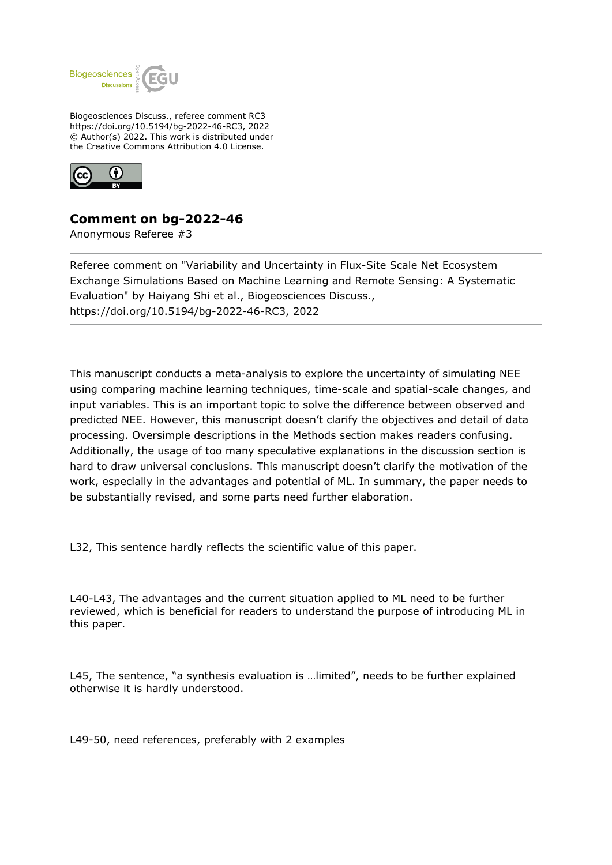

Biogeosciences Discuss., referee comment RC3 https://doi.org/10.5194/bg-2022-46-RC3, 2022 © Author(s) 2022. This work is distributed under the Creative Commons Attribution 4.0 License.



## **Comment on bg-2022-46**

Anonymous Referee #3

Referee comment on "Variability and Uncertainty in Flux-Site Scale Net Ecosystem Exchange Simulations Based on Machine Learning and Remote Sensing: A Systematic Evaluation" by Haiyang Shi et al., Biogeosciences Discuss., https://doi.org/10.5194/bg-2022-46-RC3, 2022

This manuscript conducts a meta-analysis to explore the uncertainty of simulating NEE using comparing machine learning techniques, time-scale and spatial-scale changes, and input variables. This is an important topic to solve the difference between observed and predicted NEE. However, this manuscript doesn't clarify the objectives and detail of data processing. Oversimple descriptions in the Methods section makes readers confusing. Additionally, the usage of too many speculative explanations in the discussion section is hard to draw universal conclusions. This manuscript doesn't clarify the motivation of the work, especially in the advantages and potential of ML. In summary, the paper needs to be substantially revised, and some parts need further elaboration.

L32, This sentence hardly reflects the scientific value of this paper.

L40-L43, The advantages and the current situation applied to ML need to be further reviewed, which is beneficial for readers to understand the purpose of introducing ML in this paper.

L45, The sentence, "a synthesis evaluation is …limited", needs to be further explained otherwise it is hardly understood.

L49-50, need references, preferably with 2 examples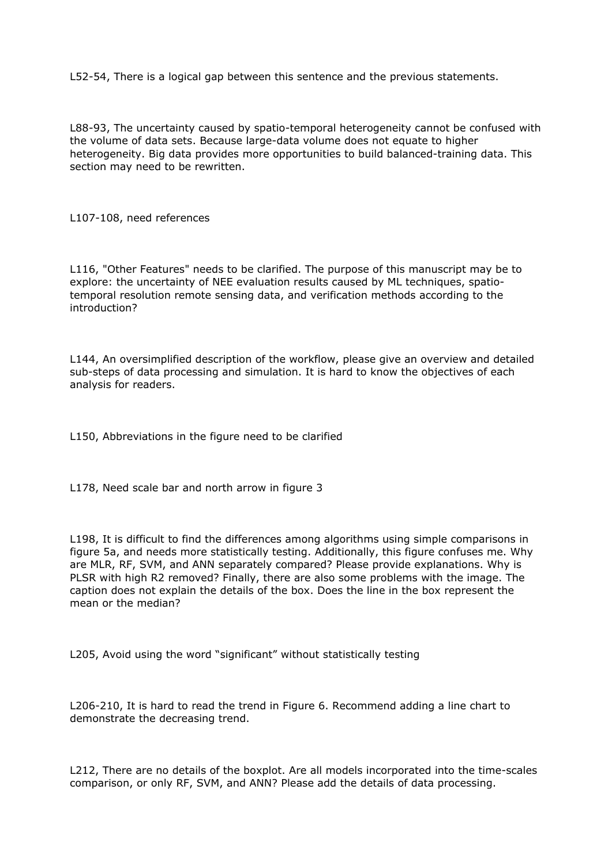L52-54, There is a logical gap between this sentence and the previous statements.

L88-93, The uncertainty caused by spatio-temporal heterogeneity cannot be confused with the volume of data sets. Because large-data volume does not equate to higher heterogeneity. Big data provides more opportunities to build balanced-training data. This section may need to be rewritten.

L107-108, need references

L116, "Other Features" needs to be clarified. The purpose of this manuscript may be to explore: the uncertainty of NEE evaluation results caused by ML techniques, spatiotemporal resolution remote sensing data, and verification methods according to the introduction?

L144, An oversimplified description of the workflow, please give an overview and detailed sub-steps of data processing and simulation. It is hard to know the objectives of each analysis for readers.

L150, Abbreviations in the figure need to be clarified

L178, Need scale bar and north arrow in figure 3

L198, It is difficult to find the differences among algorithms using simple comparisons in figure 5a, and needs more statistically testing. Additionally, this figure confuses me. Why are MLR, RF, SVM, and ANN separately compared? Please provide explanations. Why is PLSR with high R2 removed? Finally, there are also some problems with the image. The caption does not explain the details of the box. Does the line in the box represent the mean or the median?

L205, Avoid using the word "significant" without statistically testing

L206-210, It is hard to read the trend in Figure 6. Recommend adding a line chart to demonstrate the decreasing trend.

L212, There are no details of the boxplot. Are all models incorporated into the time-scales comparison, or only RF, SVM, and ANN? Please add the details of data processing.